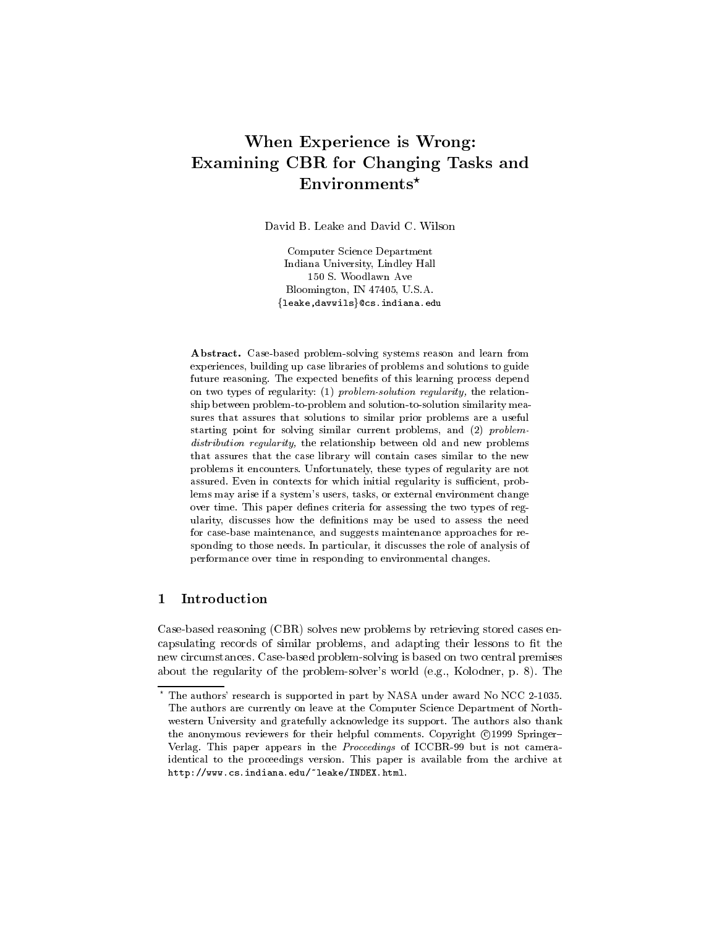# When Experience is Wrong: Examining CBR for Changing Tasks and  $E$ nvironments<sup>\*</sup>

David B. Leake and David C. Wilson

Computer Science Department Indiana University, Lindley Hall 150 S. Woodlawn Ave Bloomington, IN 47405, U.S.A.  ${leake,}davwils$ }@cs.indiana.edu

Abstract. Case-based problem-solving systems reason and learn from experiences, building up case libraries of problems and solutions to guide future reasoning. The expected benefits of this learning process depend on two types of regularity: (1) problem-solution regularity, the relationship between problem-to-problem and solution-to-solution similarity measures that assures that solutions to similar prior problems are a useful starting point for solving similar current problems, and (2) problemdistribution regularity, the relationship between old and new problems that assures that the case library will contain cases similar to the new problems it encounters. Unfortunately, these types of regularity are not assured. Even in contexts for which initial regularity is sufficient, problems may arise if a system's users, tasks, or external environment change over time. This paper defines criteria for assessing the two types of regularity, discusses how the definitions may be used to assess the need for case-base maintenance, and suggests maintenance approaches for responding to those needs. In particular, it discusses the role of analysis of performance over time in responding to environmental changes.

### $\mathbf{1}$ **Introduction**

Case-based reasoning (CBR) solves new problems by retrieving stored cases encapsulating records of similar problems, and adapting their lessons to fit the new circumstances. Case-based problem-solving is based on two central premises about the regularity of the problem-solver's world (e.g., Kolodner, p. 8). The

<sup>?</sup> The authors' research is supported in part by NASA under award No NCC 2-1035. The authors are currently on leave at the Computer Science Department of North western University and gratefully acknowledge its support. The authors also thank the anonymous reviewers for their helpful comments. Copyright ©1999 Springer-Verlag. This paper appears in the Proceedings of ICCBR-99 but is not cameraidentical to the proceedings version. This paper is available from the archive at http://www.cs.indiana.edu/~leake/INDEX.html.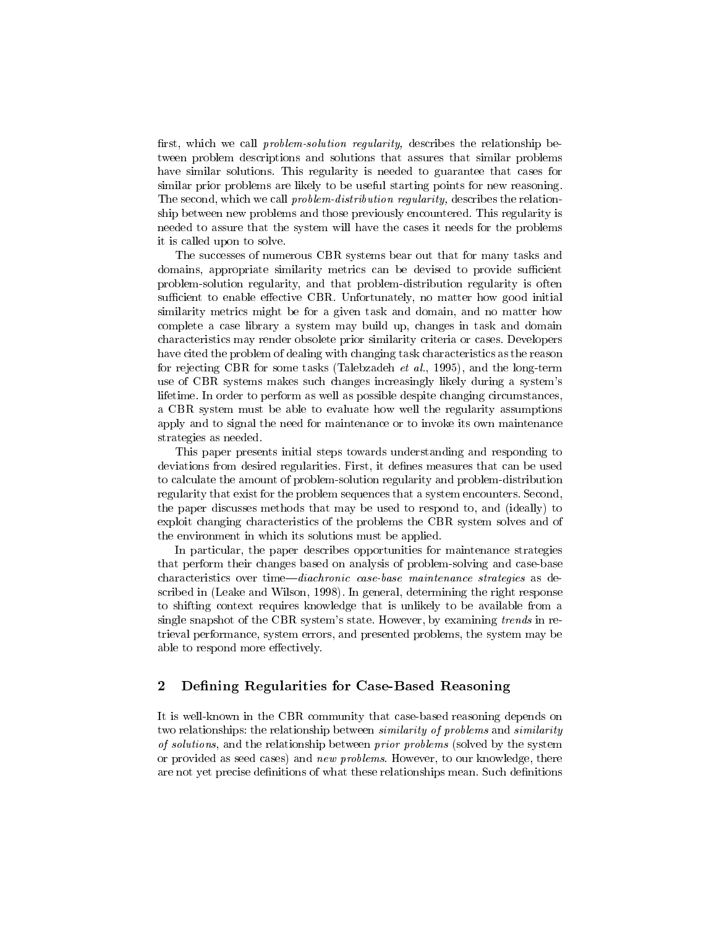first, which we call *problem-solution regularity*, describes the relationship between problem descriptions and solutions that assures that similar problems have similar solutions. This regularity is needed to guarantee that cases for similar prior problems are likely to be useful starting points for new reasoning. The second, which we call *problem-distribution regularity*, describes the relationship between new problems and those previously encountered. This regularity is needed to assure that the system will have the cases it needs for the problems it is called upon to solve.

The successes of numerous CBR systems bear out that for many tasks and domains, appropriate similarity metrics can be devised to provide sufficient problem-solution regularity, and that problem-distribution regularity is often sufficient to enable effective CBR. Unfortunately, no matter how good initial similarity metrics might be for a given task and domain, and no matter how complete a case library a system may build up, changes in task and domain characteristics may render obsolete prior similarity criteria or cases. Developers have cited the problem of dealing with changing task characteristics as the reason for rejecting CBR for some tasks (Talebzadeh et al., 1995), and the long-term use of CBR systems makes such changes increasingly likely during a system's lifetime. In order to perform as well as possible despite changing circumstances, a CBR system must be able to evaluate how well the regularity assumptions apply and to signal the need for maintenance or to invoke its own maintenance strategies as needed.

This paper presents initial steps towards understanding and responding to deviations from desired regularities. First, it defines measures that can be used to calculate the amount of problem-solution regularity and problem-distribution regularity that exist for the problem sequences that a system encounters. Second, the paper discusses methods that may be used to respond to, and (ideally) to exploit changing characteristics of the problems the CBR system solves and of the environment in which its solutions must be applied.

In particular, the paper describes opportunities for maintenance strategies that perform their changes based on analysis of problem-solving and case-base characteristics over time—diachronic case-base maintenance strategies as described in (Leake and Wilson, 1998). In general, determining the right response to shifting context requires knowledge that is unlikely to be available from a single snapshot of the CBR system's state. However, by examining trends in retrieval performance, system errors, and presented problems, the system may be able to respond more effectively.

## 2 Defining Regularities for Case-Based Reasoning

It is well-known in the CBR community that case-based reasoning depends on two relationships: the relationship between *similarity of problems* and *similarity* of solutions, and the relationship between prior problems (solved by the system or provided as seed cases) and new problems. However, to our knowledge, there are not yet precise definitions of what these relationships mean. Such definitions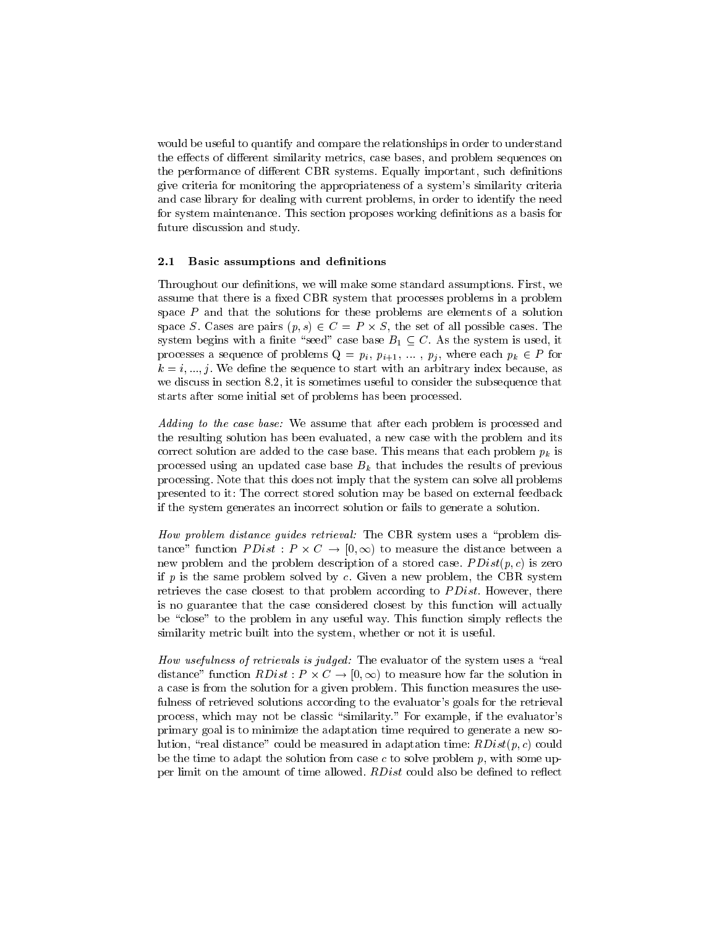would be useful to quantify and compare the relationships in order to understand the effects of different similarity metrics, case bases, and problem sequences on the performance of different CBR systems. Equally important, such definitions give criteria for monitoring the appropriateness of a system's similarity criteria and case library for dealing with current problems, in order to identify the need for system maintenance. This section proposes working definitions as a basis for future discussion and study.

### 2.1 Basic assumptions and definitions

Throughout our definitions, we will make some standard assumptions. First, we assume that there is a fixed CBR system that processes problems in a problem space  $P$  and that the solutions for these problems are elements of a solution space S. Cases are pairs  $(p, s) \in C = P \times S$ , the set of all possible cases. The system begins with a finite "seed" case base  $B_1 \subseteq C$ . As the system is used, it processes a sequence of problems  $Q = p_i, p_{i+1}, \ldots, p_j$ , where each  $p_k \in P$  for  $\kappa = i, ..., j$ . We define the sequence to start with an arbitrary index because, as we discuss in section 8.2, it is sometimes useful to consider the subsequence that starts after some initial set of problems has been processed.

Adding to the case base: We assume that after each problem is processed and the resulting solution has been evaluated, a new case with the problem and its correct solution are added to the case base. This means that each problem  $p_k$  is processed using an updated case base  $B_k$  that includes the results of previous processing. Note that this does not imply that the system can solve all problems presented to it: The correct stored solution may be based on external feedback if the system generates an incorrect solution or fails to generate a solution.

How problem distance guides retrieval: The CBR system uses a "problem distance" function  $PDist$  :  $P\times C\rightarrow\left[ 0,\infty\right)$  to measure the distance between a new problem and the problem description of a stored case.  $PDist(p, c)$  is zero if p is the same problem solved by c. Given a new problem, the CBR system retrieves the case closest to that problem according to  $PDist$ . However, there is no guarantee that the case considered closest by this function will actually be "close" to the problem in any useful way. This function simply reflects the similarity metric built into the system, whether or not it is useful.

How usefulness of retrievals is judged: The evaluator of the system uses a "real distance" function  $RDist: P \times C \rightarrow [0,\infty)$  to measure how far the solution in a case is from the solution for a given problem. This function measures the usefulness of retrieved solutions according to the evaluator's goals for the retrieval process, which may not be classic "similarity." For example, if the evaluator's primary goal is to minimize the adaptation time required to generate a new solution, "real distance" could be measured in adaptation time:  $RDist(p, c)$  could be the time to adapt the solution from case c to solve problem  $p$ , with some upper limit on the amount of time allowed.  $RDist$  could also be defined to reflect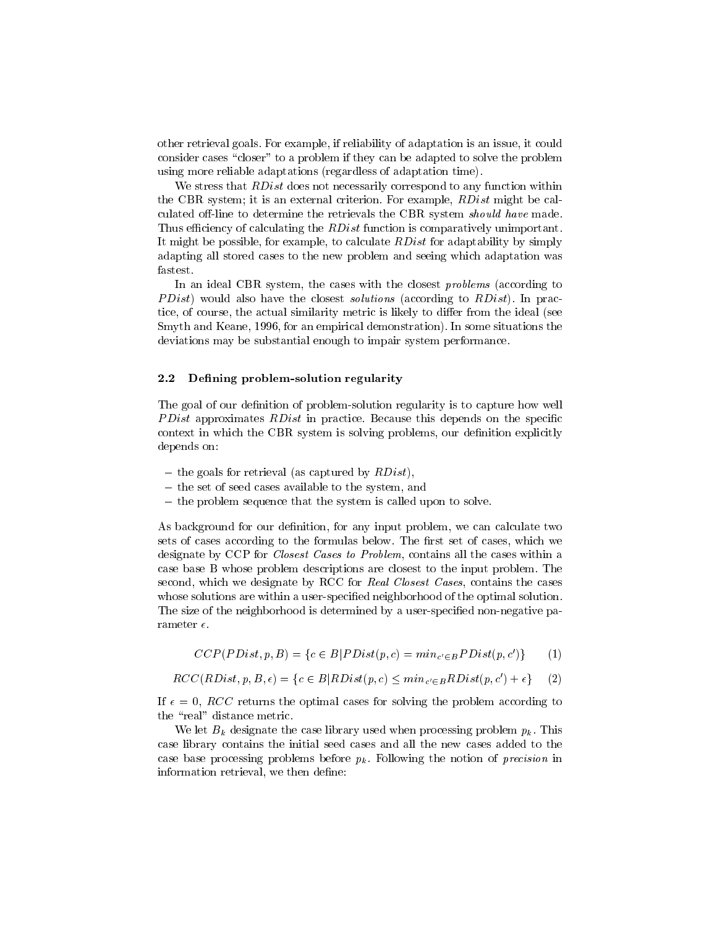other retrieval goals. For example, if reliability of adaptation is an issue, it could consider cases "closer" to a problem if they can be adapted to solve the problem using more reliable adaptations (regardless of adaptation time).

We stress that  $RDist$  does not necessarily correspond to any function within the CBR system; it is an external criterion. For example, RDist might be calculated off-line to determine the retrievals the CBR system *should have* made. Thus efficiency of calculating the  $RDist$  function is comparatively unimportant. It might be possible, for example, to calculate  $RDist$  for adaptability by simply adapting all stored cases to the new problem and seeing which adaptation was

In an ideal CBR system, the cases with the closest *problems* (according to *PDist*) would also have the closest *solutions* (according to  $RDist$ ). In practice, of course, the actual similarity metric is likely to differ from the ideal (see Smyth and Keane, 1996, for an empirical demonstration). In some situations the deviations may be substantial enough to impair system performance.

## 2.2 Defining problem-solution regularity

The goal of our definition of problem-solution regularity is to capture how well  $\mu$   $\mu$  is approximates  $\mu\nu$  is an practice. Decause this depends on the specific  $\alpha$  context in which the CBR system is solving problems, our definition explicitly depends on:

- ${\bf -}$  the goals for retrieval (as captured by  $RDist$ ),
- { the set of seed cases available to the system, and
- the problem sequence that the system is called upon to solve.

As background for our definition, for any input problem, we can calculate two sets of cases according to the formulas below. The first set of cases, which we designate by CCP for *Closest Cases to Problem*, contains all the cases within a case base B whose problem descriptions are closest to the input problem. The second, which we designate by RCC for Real Closest Cases, contains the cases whose solutions are within a user-specified neighborhood of the optimal solution. The size of the neighborhood is determined by a user-specified non-negative parameter  $\epsilon$ .

$$
CCP(PDist, p, B) = \{c \in B| PDist(p, c) = min_{c' \in B} PDist(p, c')\}
$$
 (1)

$$
RCC(RDist, p, B, \epsilon) = \{c \in B | RDist(p, c) \leq min_{c' \in B} RDist(p, c') + \epsilon\} \tag{2}
$$

If  $\epsilon = 0$ , RCC returns the optimal cases for solving the problem according to the "real" distance metric.

We let  $B_k$  designate the case library used when processing problem  $p_k$ . This case library contains the initial seed cases and all the new cases added to the case base processing problems before  $p_k$ . Following the notion of *precision* in information retrieval, we then define: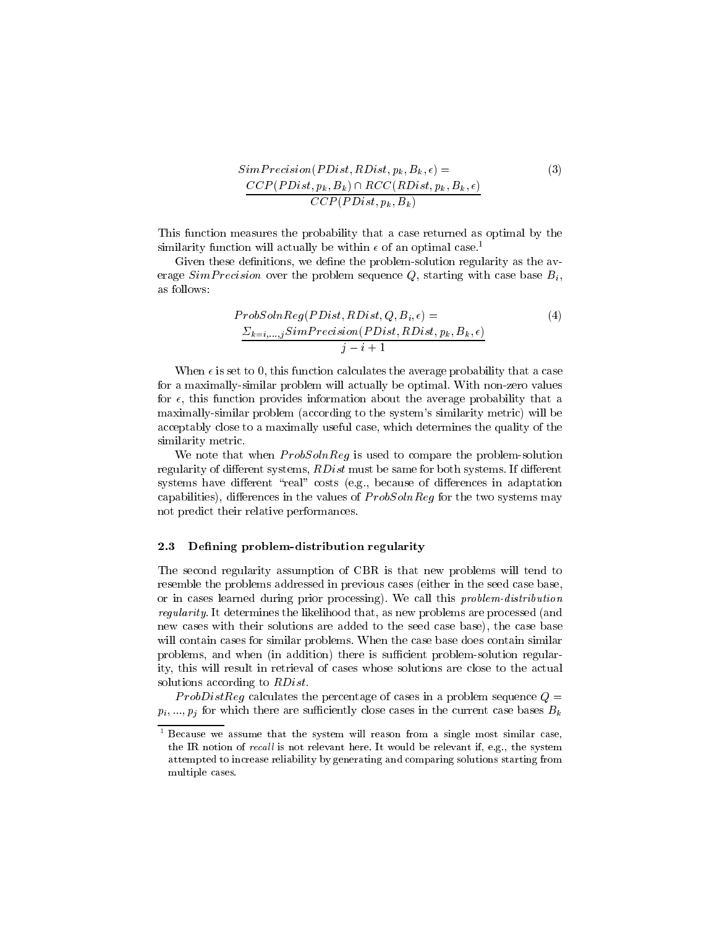$$
SimPrecision(PDist, RDist, p_k, B_k, \epsilon) =
$$
\n
$$
\frac{CCP(PDist, p_k, B_k) \cap RCC(RDist, p_k, B_k, \epsilon)}{CCP(PDist, p_k, B_k)}
$$
\n(3)

This function measures the probability that a case returned as optimal by the similarity function will actually be within  $\epsilon$  of an optimal case.<sup>1</sup>

Given these definitions, we define the problem-solution regularity as the average  $SimPrecision$  over the problem sequence  $Q$ , starting with case base  $B_i$ , as follows:

$$
ProbSolnReg(PDist, RDist, Q, B_i, \epsilon) = \n\frac{\sum_{k=i,...,j} SimPrecision(PDist, RDist, p_k, B_k, \epsilon)}{j - i + 1}
$$
\n(4)

When  $\epsilon$  is set to 0, this function calculates the average probability that a case for a maximally-similar problem will actually be optimal. With non-zero values for  $\epsilon$ , this function provides information about the average probability that a maximally-similar problem (according to the system's similarity metric) will be acceptably close to a maximally useful case, which determines the quality of the similarity metric.

We note that when  $ProbSolnReg$  is used to compare the problem-solution regularity of different systems,  $RDist$  must be same for both systems. If different systems have different "real" costs (e.g., because of differences in adaptation capabilities), differences in the values of  $ProbSolnReg$  for the two systems may not predict their relative performances.

### 2.3 Defining problem-distribution regularity

The second regularity assumption of CBR is that new problems will tend to resemble the problems addressed in previous cases (either in the seed case base, or in cases learned during prior processing). We call this problem-distribution regularity. It determines the likelihood that, as new problems are processed (and new cases with their solutions are added to the seed case base), the case base will contain cases for similar problems. When the case base does contain similar problems, and when (in addition) there is sufficient problem-solution regularity, this will result in retrieval of cases whose solutions are close to the actual solutions according to  $RDist$ .

 $P$  robD istricy calculates the percentage of cases in a problem sequence  $Q =$  $p_i, ..., p_j$  for which there are sufficiently close cases in the current case bases  $B_k$ 

<sup>1</sup> Because we assume that the system will reason from a single most similar case, the IR notion of recall is not relevant here. It would be relevant if, e.g., the system attempted to increase reliability by generating and comparing solutions starting from multiple cases.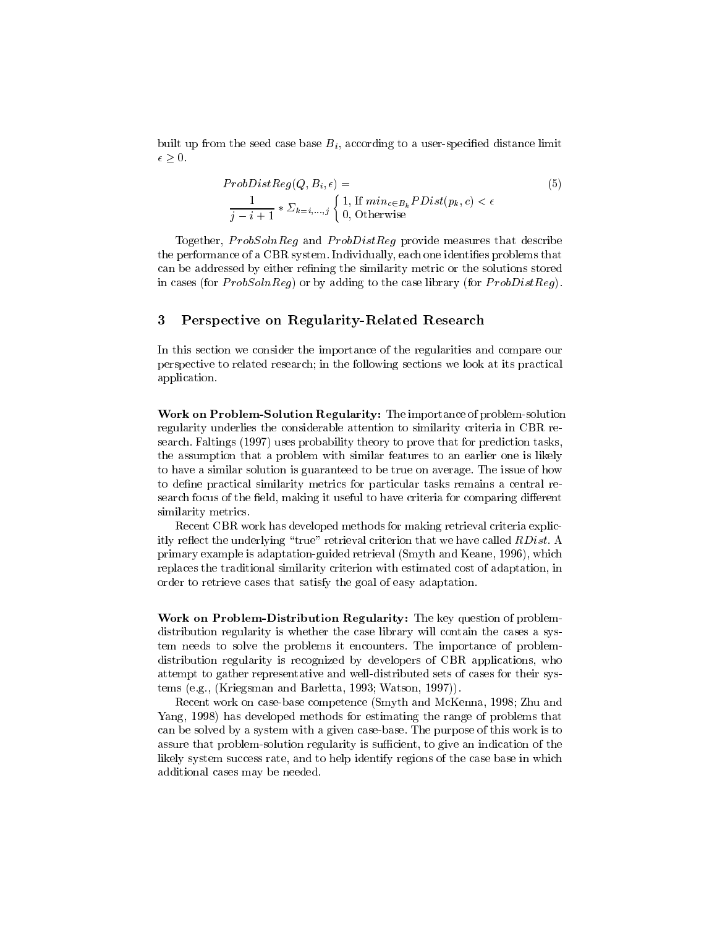built up from the seed case base  $B_i$ , according to a user-specified distance limit  $\epsilon \geq 0$ .

$$
ProbDistReg(Q, B_i, \epsilon) =
$$
  
\n
$$
\frac{1}{j - i + 1} * \sum_{k = i, ..., j} \begin{cases} 1, \text{ If } min_{c \in B_k} PDist(p_k, c) < \epsilon \\ 0, \text{ Otherwise} \end{cases}
$$
 (5)

Together,  $ProbSolnReg$  and  $ProbDistReg$  provide measures that describe the performance of a CBR system. Individually, each one identifies problems that can be addressed by either refining the similarity metric or the solutions stored in cases (for  $ProbSolnReg$ ) or by adding to the case library (for  $ProbDistReg$ ).

#### 3 3 Perspective on Regularity-Related Research

In this section we consider the importance of the regularities and compare our perspective to related research; in the following sections we look at its practical application.

Work on Problem-Solution Regularity: The importance of problem-solution regularity underlies the considerable attention to similarity criteria in CBR research. Faltings (1997) uses probability theory to prove that for prediction tasks, the assumption that a problem with similar features to an earlier one is likely to have a similar solution is guaranteed to be true on average. The issue of how to dene practical similarity metrics for particular tasks remains a central research focus of the field, making it useful to have criteria for comparing different similarity metrics.

Recent CBR work has developed methods for making retrieval criteria explicitly reflect the underlying "true" retrieval criterion that we have called  $RDist$ . A primary example is adaptation-guided retrieval (Smyth and Keane, 1996), which replaces the traditional similarity criterion with estimated cost of adaptation, in order to retrieve cases that satisfy the goal of easy adaptation.

Work on Problem-Distribution Regularity: The key question of problemdistribution regularity is whether the case library will contain the cases a system needs to solve the problems it encounters. The importance of problemdistribution regularity is recognized by developers of CBR applications, who attempt to gather representative and well-distributed sets of cases for their systems (e.g., (Kriegsman and Barletta, 1993; Watson, 1997)).

Recent work on case-base competence (Smyth and McKenna, 1998; Zhu and Yang, 1998) has developed methods for estimating the range of problems that can be solved by a system with a given case-base. The purpose of this work is to assure that problem-solution regularity is sufficient, to give an indication of the likely system success rate, and to help identify regions of the case base in which additional cases may be needed.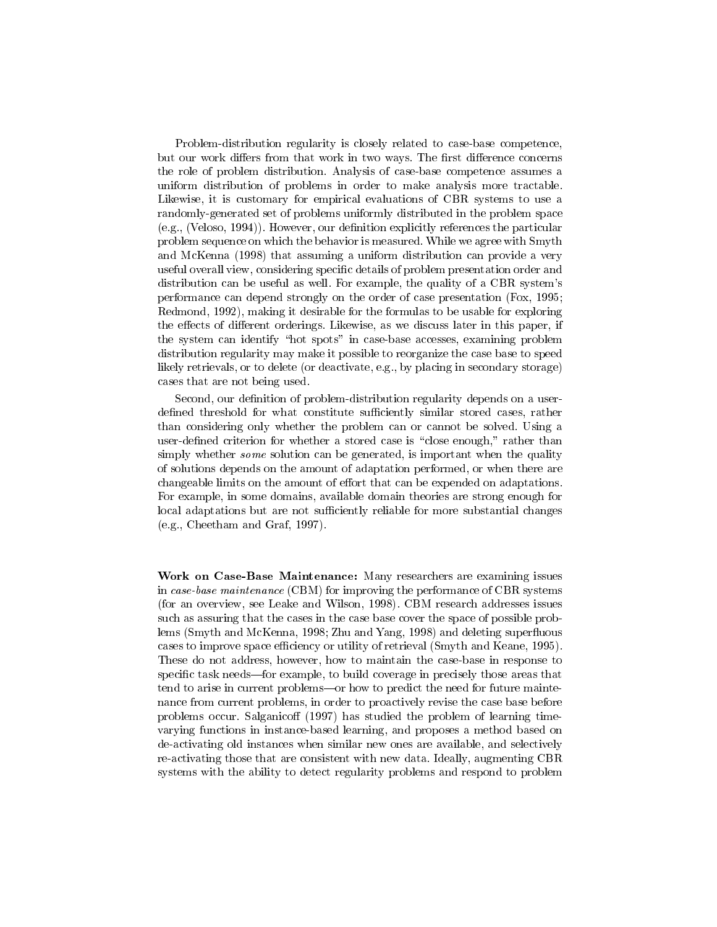Problem-distribution regularity is closely related to case-base competence, but our work differs from that work in two ways. The first difference concerns the role of problem distribution. Analysis of case-base competence assumes a uniform distribution of problems in order to make analysis more tractable. Likewise, it is customary for empirical evaluations of CBR systems to use a randomly-generated set of problems uniformly distributed in the problem space  $(e.g., (Veloso, 1994))$ . However, our definition explicitly references the particular problem sequence on which the behavior is measured. While we agree with Smyth and McKenna (1998) that assuming a uniform distribution can provide a very useful overall view, considering specic details of problem presentation order and distribution can be useful as well. For example, the quality of a CBR system's performance can depend strongly on the order of case presentation (Fox, 1995; Redmond, 1992), making it desirable for the formulas to be usable for exploring the effects of different orderings. Likewise, as we discuss later in this paper, if the system can identify "hot spots" in case-base accesses, examining problem distribution regularity may make it possible to reorganize the case base to speed likely retrievals, or to delete (or deactivate, e.g., by placing in secondary storage) cases that are not being used.

Second, our definition of problem-distribution regularity depends on a userdefined threshold for what constitute sufficiently similar stored cases, rather than considering only whether the problem can or cannot be solved. Using a user-defined criterion for whether a stored case is "close enough," rather than simply whether *some* solution can be generated, is important when the quality of solutions depends on the amount of adaptation performed, or when there are changeable limits on the amount of effort that can be expended on adaptations. For example, in some domains, available domain theories are strong enough for local adaptations but are not sufficiently reliable for more substantial changes (e.g., Cheetham and Graf, 1997).

Work on Case-Base Maintenance: Many researchers are examining issues in case-base maintenance (CBM) for improving the performance of CBR systems (for an overview, see Leake and Wilson, 1998). CBM research addresses issues such as assuring that the cases in the case base cover the space of possible problems (Smyth and McKenna, 1998; Zhu and Yang, 1998) and deleting superfluous cases to improve space efficiency or utility of retrieval (Smyth and Keane, 1995). These do not address, however, how to maintain the case-base in response to specific task needs—for example, to build coverage in precisely those areas that tend to arise in current problems-or how to predict the need for future maintenance from current problems, in order to proactively revise the case base before problems occur. Salganicoff (1997) has studied the problem of learning timevarying functions in instance-based learning, and proposes a method based on de-activating old instances when similar new ones are available, and selectively re-activating those that are consistent with new data. Ideally, augmenting CBR systems with the ability to detect regularity problems and respond to problem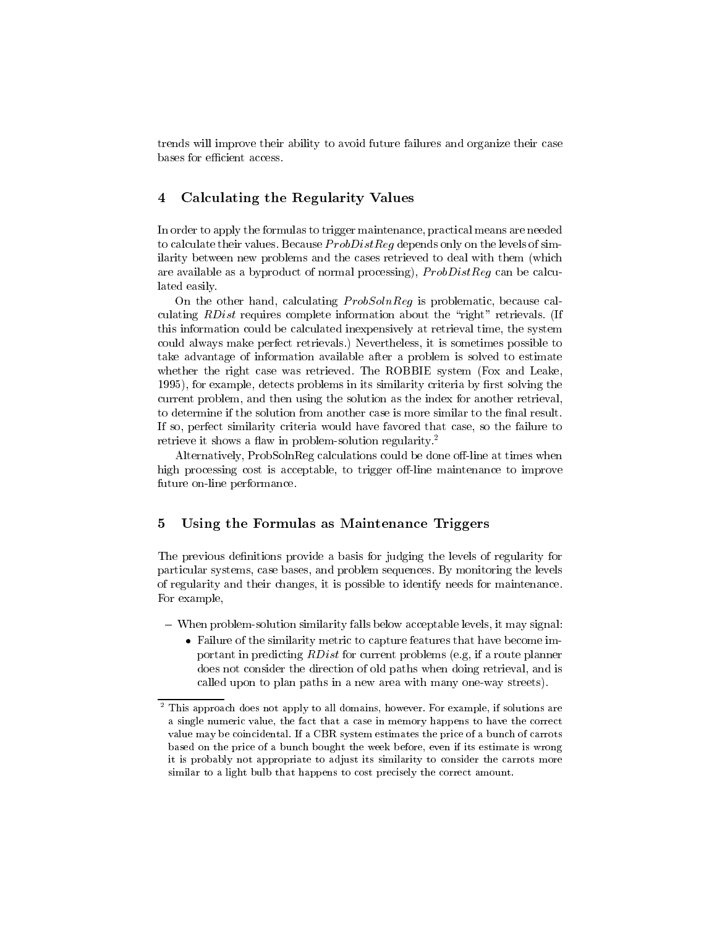trends will improve their ability to avoid future failures and organize their case bases for efficient access.

### $\overline{\mathbf{4}}$ 4 Calculating the Regularity Values

In order to apply the formulas to trigger maintenance, practical means are needed to calculate their values. Because  $ProbDistReg$  depends only on the levels of similarity between new problems and the cases retrieved to deal with them (which are available as a byproduct of normal processing),  $ProbDistReg$  can be calculated easily.

On the other hand, calculating  $ProbSolnReg$  is problematic, because calculating  $RDist$  requires complete information about the "right" retrievals. (If this information could be calculated inexpensively at retrieval time, the system could always make perfect retrievals.) Nevertheless, it is sometimes possible to take advantage of information available after a problem is solved to estimate whether the right case was retrieved. The ROBBIE system (Fox and Leake, 1995), for example, detects problems in its similarity criteria by first solving the current problem, and then using the solution as the index for another retrieval, to determine if the solution from another case is more similar to the final result. If so, perfect similarity criteria would have favored that case, so the failure to retrieve it shows a flaw in problem-solution regularity.<sup>2</sup>

Alternatively,  $Probability$ ,  $Probability$  and  $Re$  calculations could be done off-line at times when high processing cost is acceptable, to trigger off-line maintenance to improve future on-line performance.

## 5 Using the Formulas as Maintenance Triggers

The previous definitions provide a basis for judging the levels of regularity for particular systems, case bases, and problem sequences. By monitoring the levels of regularity and their changes, it is possible to identify needs for maintenance. For example,

- When problem-solution similarity falls below acceptable levels, it may signal:
	- $\bullet\,$  rallure of the similarity metric to capture features that have become important in predicting  $RDist$  for current problems (e.g, if a route planner does not consider the direction of old paths when doing retrieval, and is called upon to plan paths in a new area with many one-way streets).

<sup>2</sup> This approach does not apply to all domains, however. For example, if solutions are a single numeric value, the fact that a case in memory happens to have the correct value may be coincidental. If a CBR system estimates the price of a bunch of carrots based on the price of a bunch bought the week before, even if its estimate is wrong it is probably not appropriate to adjust its similarity to consider the carrots more similar to a light bulb that happens to cost precisely the correct amount.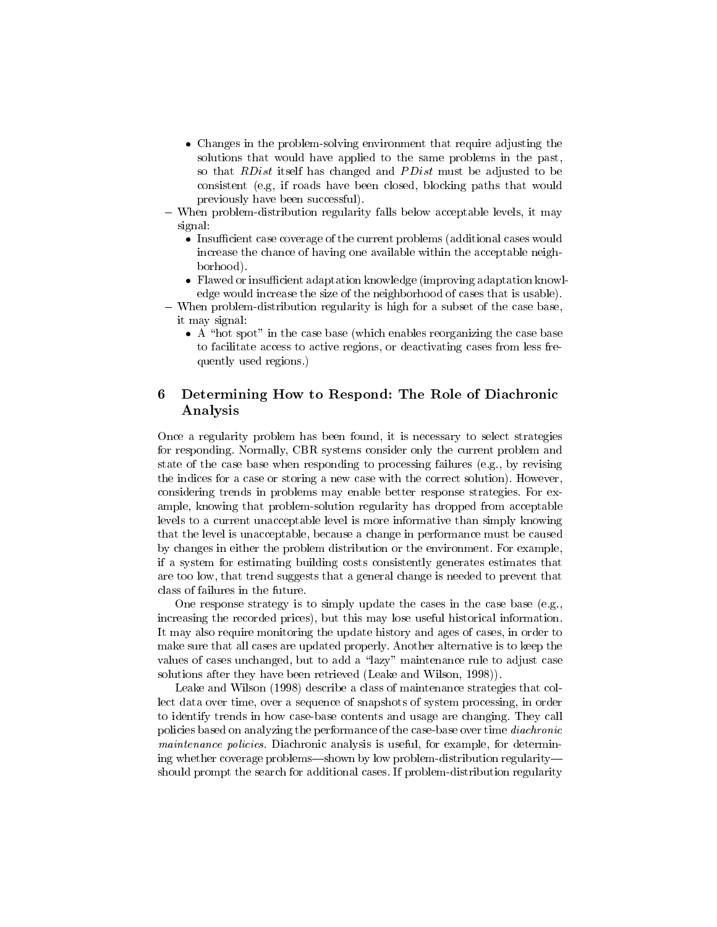- $\bullet$  Changes in the problem-solving environment that require adjusting the solutions that would have applied to the same problems in the past, so that RDist itself has changed and PDist must be adjusted to be consistent (e.g, if roads have been closed, blocking paths that would previously have been successful).
- When problem-distribution regularity falls below acceptable levels, it may signal:
	- $\bullet$  -Insumcient case coverage of the current problems (additional cases would increase the chance of having one available within the acceptable neighborhood). borhood).
	- $\bullet$  -Flawed or insufficient adaptation knowledge (improving adaptation knowledge would increase the size of the neighborhood of cases that is usable). edge would increase the size of the neighborhood of cases that is usable).
- { When problem-distribution regularity is high for a subset of the case base, it may signal:
	- $\bullet$  A "hot spot" in the case base (which enables reorganizing the case base to facilitate access to active regions, or deactivating cases from less frequently used regions.)

### Determining How to Respond: The Role of Diachronic 6 Analysis

Once a regularity problem has been found, it is necessary to select strategies for responding. Normally, CBR systems consider only the current problem and state of the case base when responding to processing failures (e.g., by revising the indices for a case or storing a new case with the correct solution). However, considering trends in problems may enable better response strategies. For example, knowing that problem-solution regularity has dropped from acceptable levels to a current unacceptable level is more informative than simply knowing that the level is unacceptable, because a change in performance must be caused by changes in either the problem distribution or the environment. For example, if a system for estimating building costs consistently generates estimates that are too low, that trend suggests that a general change is needed to prevent that class of failures in the future.

One response strategy is to simply update the cases in the case base (e.g., increasing the recorded prices), but this may lose useful historical information. It may also require monitoring the update history and ages of cases, in order to make sure that all cases are updated properly. Another alternative is to keep the values of cases unchanged, but to add a "lazy" maintenance rule to adjust case solutions after they have been retrieved (Leake and Wilson, 1998)).

Leake and Wilson (1998) describe a class of maintenance strategies that collect data over time, over a sequence of snapshots of system processing, in order to identify trends in how case-base contents and usage are changing. They call policies based on analyzing the performance of the case-base over time diachronic maintenance policies. Diachronic analysis is useful, for example, for determining whether coverage problems—shown by low problem-distribution regularity should prompt the search for additional cases. If problem-distribution regularity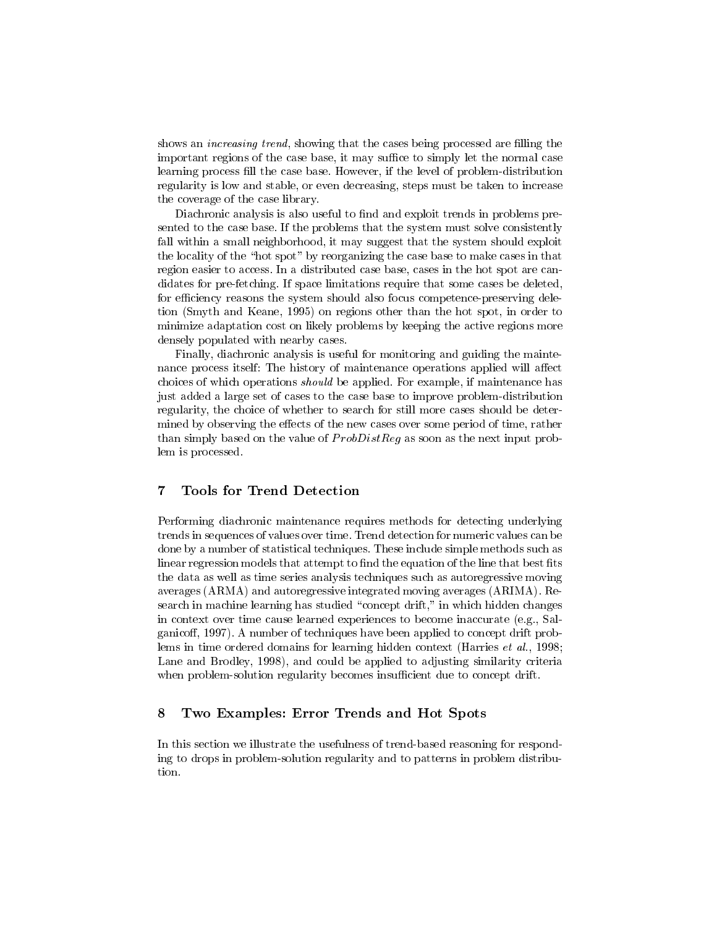shows an *increasing trend*, showing that the cases being processed are filling the important regions of the case base, it may suffice to simply let the normal case learning process fill the case base. However, if the level of problem-distribution regularity is low and stable, or even decreasing, steps must be taken to increase the coverage of the case library.

Diachronic analysis is also useful to find and exploit trends in problems presented to the case base. If the problems that the system must solve consistently fall within a small neighborhood, it may suggest that the system should exploit the locality of the \hot spot" by reorganizing the case base to make cases in that region easier to access. In a distributed case base, cases in the hot spot are candidates for pre-fetching. If space limitations require that some cases be deleted, for efficiency reasons the system should also focus competence-preserving deletion (Smyth and Keane, 1995) on regions other than the hot spot, in order to minimize adaptation cost on likely problems by keeping the active regions more densely populated with nearby cases.

Finally, diachronic analysis is useful for monitoring and guiding the maintenance process itself: The history of maintenance operations applied will affect choices of which operations should be applied. For example, if maintenance has just added a large set of cases to the case base to improve problem-distribution regularity, the choice of whether to search for still more cases should be determined by observing the effects of the new cases over some period of time, rather than simply based on the value of  $ProbDistReg$  as soon as the next input problem is processed.

### $\overline{7}$ **Tools for Trend Detection**

Performing diachronic maintenance requires methods for detecting underlying trends in sequences of values over time. Trend detection for numeric values can be done by a number of statistical techniques. These include simple methods such as linear regression models that attempt to find the equation of the line that best fits the data as well as time series analysis techniques such as autoregressive moving averages (ARMA) and autoregressive integrated moving averages (ARIMA). Research in machine learning has studied "concept drift," in which hidden changes in context over time cause learned experiences to become inaccurate (e.g., Salganicoff, 1997). A number of techniques have been applied to concept drift problems in time ordered domains for learning hidden context (Harries et al., 1998; Lane and Brodley, 1998), and could be applied to adjusting similarity criteria when problem-solution regularity becomes insufficient due to concept drift.

### 8 Two Examples: Error Trends and Hot Spots

In this section we illustrate the usefulness of trend-based reasoning for responding to drops in problem-solution regularity and to patterns in problem distribution.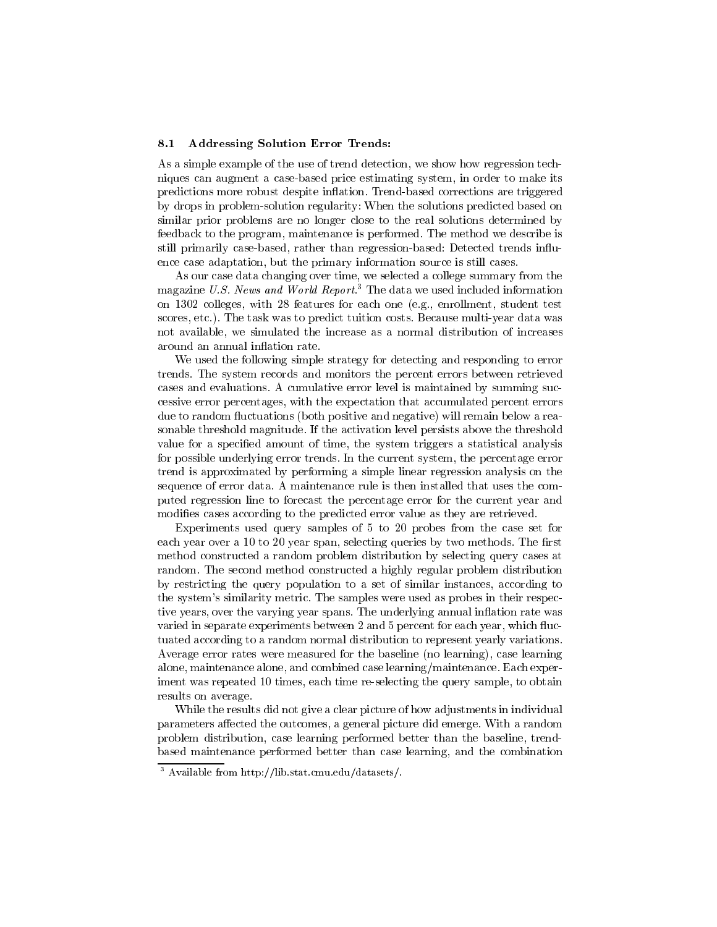### 8.1 Addressing Solution Error Trends:

As a simple example of the use of trend detection, we show how regression techniques can augment a case-based price estimating system, in order to make its predictions more robust despite inflation. Trend-based corrections are triggered by drops in problem-solution regularity: When the solutions predicted based on similar prior problems are no longer close to the real solutions determined by feedback to the program, maintenance is performed. The method we describe is still primarily case-based, rather than regression-based: Detected trends influence case adaptation, but the primary information source is still cases.

As our case data changing over time, we selected a college summary from the magazine U.S. News and World Report.<sup>3</sup> The data we used included information on 1302 colleges, with 28 features for each one (e.g., enrollment, student test scores, etc.). The task was to predict tuition costs. Because multi-year data was not available, we simulated the increase as a normal distribution of increases around an annual inflation rate.

We used the following simple strategy for detecting and responding to error trends. The system records and monitors the percent errors between retrieved cases and evaluations. A cumulative error level is maintained by summing successive error percentages, with the expectation that accumulated percent errors due to random fluctuations (both positive and negative) will remain below a reasonable threshold magnitude. If the activation level persists above the threshold value for a specied amount of time, the system triggers a statistical analysis for possible underlying error trends. In the current system, the percentage error trend is approximated by performing a simple linear regression analysis on the sequence of error data. A maintenance rule is then installed that uses the computed regression line to forecast the percentage error for the current year and modies cases according to the predicted error value as they are retrieved.

Experiments used query samples of 5 to 20 probes from the case set for each year over a  $10$  to  $20$  year span, selecting queries by two methods. The first method constructed a random problem distribution by selecting query cases at random. The second method constructed a highly regular problem distribution by restricting the query population to a set of similar instances, according to the system's similarity metric. The samples were used as probes in their respective years, over the varying year spans. The underlying annual inflation rate was varied in separate experiments between 2 and 5 percent for each year, which fluctuated according to a random normal distribution to represent yearly variations. Average error rates were measured for the baseline (no learning), case learning alone, maintenance alone, and combined case learning/maintenance. Each experiment was repeated 10 times, each time re-selecting the query sample, to obtain results on average.

While the results did not give a clear picture of how adjustments in individual parameters affected the outcomes, a general picture did emerge. With a random problem distribution, case learning performed better than the baseline, trendbased maintenance performed better than case learning, and the combination

<sup>3</sup> Available from http://lib.stat.cmu.edu/datasets/.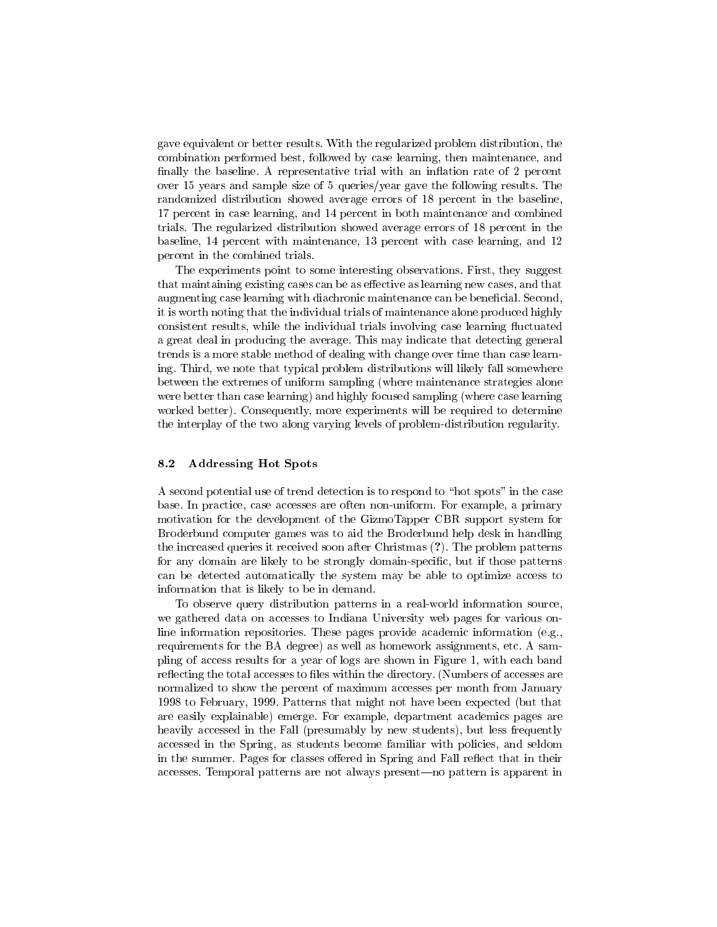gave equivalent or better results. With the regularized problem distribution, the combination performed best, followed by case learning, then maintenance, and finally the baseline. A representative trial with an inflation rate of 2 percent over 15 years and sample size of 5 queries/year gave the following results. The randomized distribution showed average errors of 18 percent in the baseline, 17 percent in case learning, and 14 percent in both maintenance and combined trials. The regularized distribution showed average errors of 18 percent in the baseline, 14 percent with maintenance, 13 percent with case learning, and 12 percent in the combined trials.

The experiments point to some interesting observations. First, they suggest that maintaining existing cases can be as effective as learning new cases, and that augmenting case learning with diachronic maintenance can be beneficial. Second, it is worth noting that the individual trials of maintenance alone produced highly consistent results, while the individual trials involving case learning fluctuated a great deal in producing the average. This may indicate that detecting general trends is a more stable method of dealing with change over time than case learning. Third, we note that typical problem distributions will likely fall somewhere between the extremes of uniform sampling (where maintenance strategies alone were better than case learning) and highly focused sampling (where case learning worked better). Consequently, more experiments will be required to determine the interplay of the two along varying levels of problem-distribution regularity.

## 8.2 Addressing Hot Spots

A second potential use of trend detection is to respond to \hot spots" in the case base. In practice, case accesses are often non-uniform. For example, a primary motivation for the development of the GizmoTapper CBR support system for Broderbund computer games was to aid the Broderbund help desk in handling the increased queries it received soon after Christmas (?). The problem patterns for any domain are likely to be strongly domain-specic, but if those patterns can be detected automatically the system may be able to optimize access to information that is likely to be in demand.

To observe query distribution patterns in a real-world information source, we gathered data on accesses to Indiana University web pages for various online information repositories. These pages provide academic information (e.g., requirements for the BA degree) as well as homework assignments, etc. A sampling of access results for a year of logs are shown in Figure 1, with each band reflecting the total accesses to files within the directory. (Numbers of accesses are normalized to show the percent of maximum accesses per month from January 1998 to February, 1999. Patterns that might not have been expected (but that are easily explainable) emerge. For example, department academics pages are heavily accessed in the Fall (presumably by new students), but less frequently accessed in the Spring, as students become familiar with policies, and seldom in the summer. Pages for classes offered in Spring and Fall reflect that in their accesses. Temporal patterns are not always present-no pattern is apparent in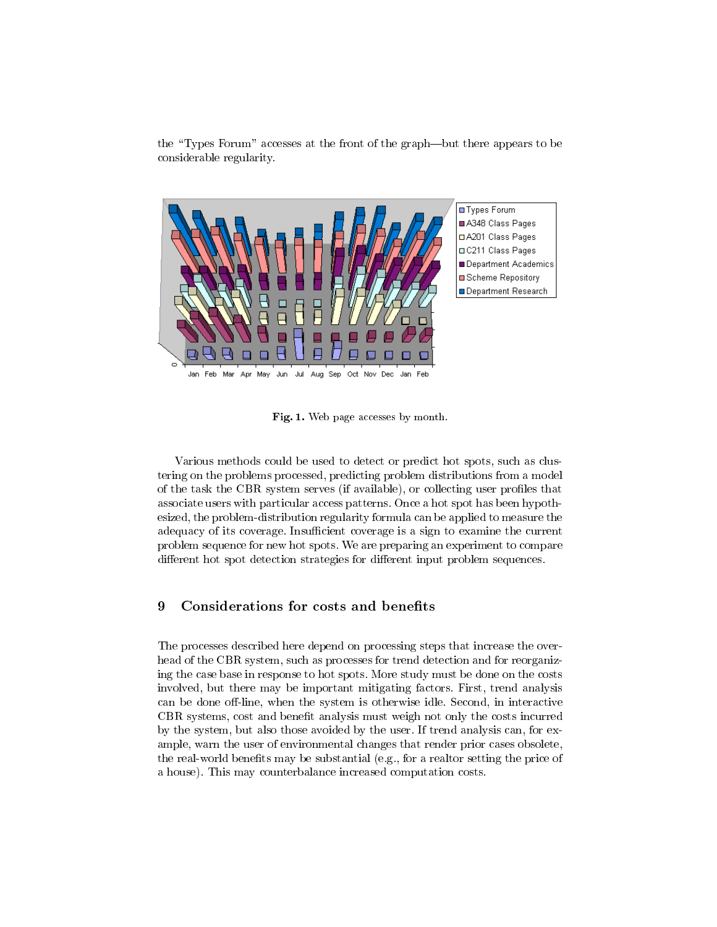the "Types Forum" accesses at the front of the graph-but there appears to be considerable regularity.



Fig. 1. Web page accesses by month.

Various methods could be used to detect or predict hot spots, such as clustering on the problems processed, predicting problem distributions from a model of the task the CBR system serves (if available), or collecting user profiles that associate users with particular access patterns. Once a hot spot has been hypothesized, the problem-distribution regularity formula can be applied to measure the adequacy of its coverage. Insufficient coverage is a sign to examine the current problem sequence for new hot spots. We are preparing an experiment to compare different hot spot detection strategies for different input problem sequences.

### $9\phantom{.}$ Considerations for costs and benefits

The processes described here depend on processing steps that increase the overhead of the CBR system, such as processes for trend detection and for reorganizing the case base in response to hot spots. More study must be done on the costs involved, but there may be important mitigating factors. First, trend analysis can be done off-line, when the system is otherwise idle. Second, in interactive CBR systems, cost and benet analysis must weigh not only the costs incurred by the system, but also those avoided by the user. If trend analysis can, for example, warn the user of environmental changes that render prior cases obsolete, the real-world benefits may be substantial (e.g., for a realtor setting the price of a house). This may counterbalance increased computation costs.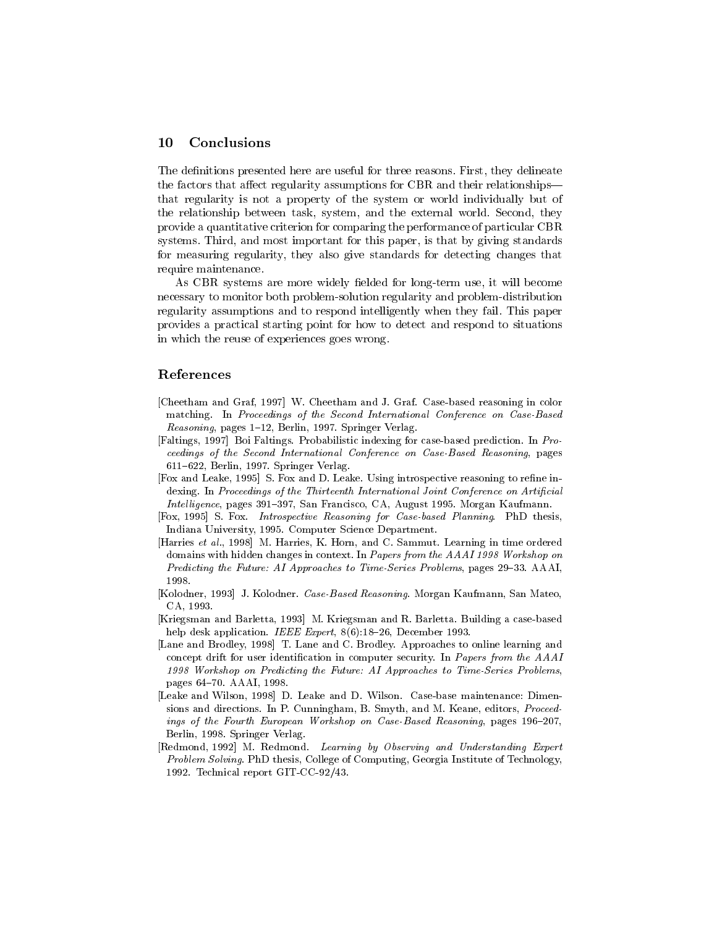## 10 Conclusions

The definitions presented here are useful for three reasons. First, they delineate the factors that affect regularity assumptions for CBR and their relationships that regularity is not a property of the system or world individually but of the relationship between task, system, and the external world. Second, they provide a quantitative criterion for comparing the performance of particular CBR systems. Third, and most important for this paper, is that by giving standards for measuring regularity, they also give standards for detecting changes that require maintenance.

As CBR systems are more widely fielded for long-term use, it will become necessary to monitor both problem-solution regularity and problem-distribution regularity assumptions and to respond intelligently when they fail. This paper provides a practical starting point for how to detect and respond to situations in which the reuse of experiences goes wrong.

## References

- [Cheetham and Graf, 1997] W. Cheetham and J. Graf. Case-based reasoning in color matching. In Proceedings of the Second International Conference on Case-Based Reasoning, pages 1-12, Berlin, 1997. Springer Verlag.
- [Faltings, 1997] Boi Faltings. Probabilistic indexing for case-based prediction. In Pro ceedings of the Second International Conference on Case-Based Reasoning, pages 611{622, Berlin, 1997. Springer Verlag.
- [Fox and Leake, 1995] S. Fox and D. Leake. Using introspective reasoning to rene indexing. In Proceedings of the Thirteenth International Joint Conference on Artificial Intelligence, pages 391–397, San Francisco, CA, August 1995. Morgan Kaufmann.
- [Fox, 1995] S. Fox. Introspective Reasoning for Case-based Planning. PhD thesis, Indiana University, 1995. Computer Science Department.
- [Harries et al., 1998] M. Harries, K. Horn, and C. Sammut. Learning in time ordered domains with hidden changes in context. In Papers from the AAAI 1998 Workshop on Predicting the Future: AI Approaches to Time-Series Problems, pages  $29-33$ . AAAI, 1998.
- [Kolodner, 1993] J. Kolodner. Case-Based Reasoning. Morgan Kaufmann, San Mateo, CA, 1993.
- [Kriegsman and Barletta, 1993] M. Kriegsman and R. Barletta. Building a case-based help desk application. IEEE Expert,  $8(6):18-26$ , December 1993.
- [Lane and Brodley, 1998] T. Lane and C. Brodley. Approaches to online learning and concept drift for user identification in computer security. In Papers from the AAAI 1998 Workshop on Predicting the Future: AI Approaches to Time-Series Problems, pages 64-70. AAAI, 1998.
- [Leake and Wilson, 1998] D. Leake and D. Wilson. Case-base maintenance: Dimensions and directions. In P. Cunningham, B. Smyth, and M. Keane, editors, Proceedings of the Fourth European Workshop on Case-Based Reasoning, pages  $196-207$ , Berlin, 1998. Springer Verlag.
- [Redmond, 1992] M. Redmond. Learning by Observing and Understanding Expert Problem Solving. PhD thesis, College of Computing, Georgia Institute of Technology, 1992. Technical report GIT-CC-92/43.